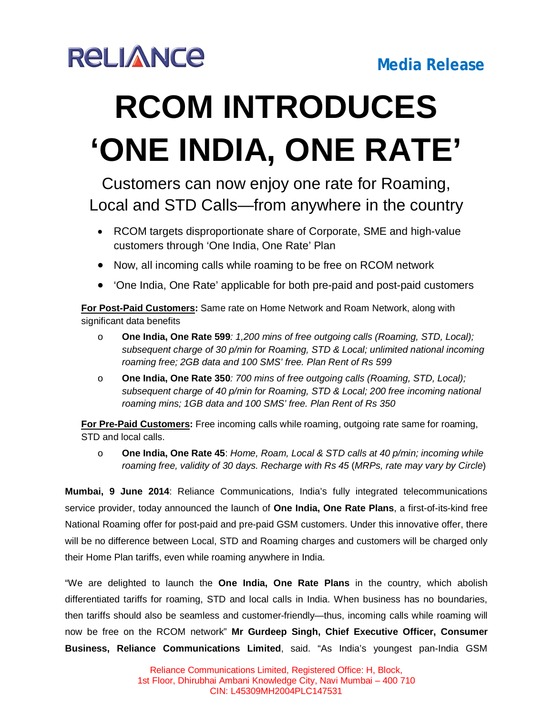

## **RCOM INTRODUCES 'ONE INDIA, ONE RATE'**

## Customers can now enjoy one rate for Roaming, Local and STD Calls—from anywhere in the country

- RCOM targets disproportionate share of Corporate, SME and high-value customers through 'One India, One Rate' Plan
- Now, all incoming calls while roaming to be free on RCOM network
- 'One India, One Rate' applicable for both pre-paid and post-paid customers

**For Post-Paid Customers:** Same rate on Home Network and Roam Network, along with significant data benefits

- o **One India, One Rate 599***: 1,200 mins of free outgoing calls (Roaming, STD, Local); subsequent charge of 30 p/min for Roaming, STD & Local; unlimited national incoming roaming free; 2GB data and 100 SMS' free. Plan Rent of Rs 599*
- o **One India, One Rate 350***: 700 mins of free outgoing calls (Roaming, STD, Local); subsequent charge of 40 p/min for Roaming, STD & Local; 200 free incoming national roaming mins; 1GB data and 100 SMS' free. Plan Rent of Rs 350*

**For Pre-Paid Customers:** Free incoming calls while roaming, outgoing rate same for roaming, STD and local calls.

o **One India, One Rate 45**: *Home, Roam, Local & STD calls at 40 p/min; incoming while roaming free, validity of 30 days. Recharge with Rs 45* (*MRPs, rate may vary by Circle*)

**Mumbai, 9 June 2014**: Reliance Communications, India's fully integrated telecommunications service provider, today announced the launch of **One India, One Rate Plans**, a first-of-its-kind free National Roaming offer for post-paid and pre-paid GSM customers. Under this innovative offer, there will be no difference between Local, STD and Roaming charges and customers will be charged only their Home Plan tariffs, even while roaming anywhere in India.

"We are delighted to launch the **One India, One Rate Plans** in the country, which abolish differentiated tariffs for roaming, STD and local calls in India. When business has no boundaries, then tariffs should also be seamless and customer-friendly—thus, incoming calls while roaming will now be free on the RCOM network" **Mr Gurdeep Singh, Chief Executive Officer, Consumer Business, Reliance Communications Limited**, said. "As India's youngest pan-India GSM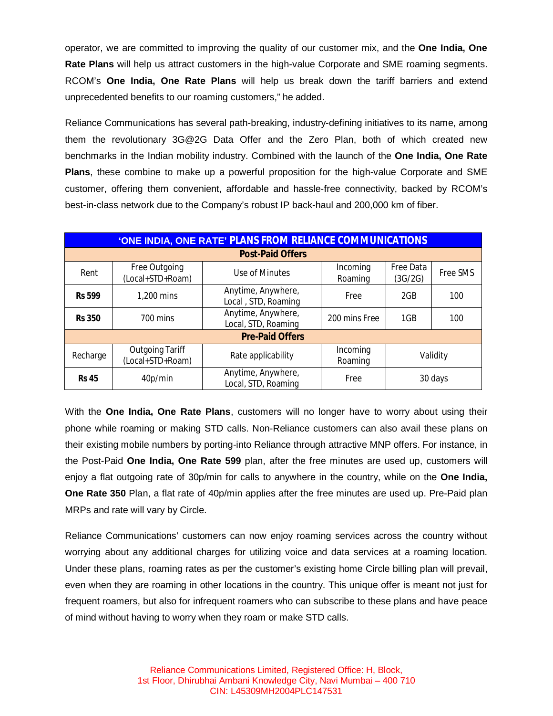operator, we are committed to improving the quality of our customer mix, and the **One India, One Rate Plans** will help us attract customers in the high-value Corporate and SME roaming segments. RCOM's **One India, One Rate Plans** will help us break down the tariff barriers and extend unprecedented benefits to our roaming customers," he added.

Reliance Communications has several path-breaking, industry-defining initiatives to its name, among them the revolutionary 3G@2G Data Offer and the Zero Plan, both of which created new benchmarks in the Indian mobility industry. Combined with the launch of the **One India, One Rate Plans**, these combine to make up a powerful proposition for the high-value Corporate and SME customer, offering them convenient, affordable and hassle-free connectivity, backed by RCOM's best-in-class network due to the Company's robust IP back-haul and 200,000 km of fiber.

| 'ONE INDIA, ONE RATE' PLANS FROM RELIANCE COMMUNICATIONS |                                            |                                           |                     |                      |          |
|----------------------------------------------------------|--------------------------------------------|-------------------------------------------|---------------------|----------------------|----------|
| <b>Post-Paid Offers</b>                                  |                                            |                                           |                     |                      |          |
| Rent                                                     | Free Outgoing<br>(Local+STD+Roam)          | Use of Minutes                            | Incoming<br>Roaming | Free Data<br>(3G/2G) | Free SMS |
| <b>Rs 599</b>                                            | 1,200 mins                                 | Anytime, Anywhere,<br>Local, STD, Roaming | Free                | 2GB                  | 100      |
| <b>Rs 350</b>                                            | 700 mins                                   | Anytime, Anywhere,<br>Local, STD, Roaming | 200 mins Free       | 1GB                  | 100      |
| <b>Pre-Paid Offers</b>                                   |                                            |                                           |                     |                      |          |
| Recharge                                                 | <b>Outgoing Tariff</b><br>(Local+STD+Roam) | Rate applicability                        | Incoming<br>Roaming | Validity             |          |
| <b>Rs 45</b>                                             | 40p/min                                    | Anytime, Anywhere,<br>Local, STD, Roaming | Free                | 30 days              |          |

With the **One India, One Rate Plans**, customers will no longer have to worry about using their phone while roaming or making STD calls. Non-Reliance customers can also avail these plans on their existing mobile numbers by porting-into Reliance through attractive MNP offers. For instance, in the Post-Paid **One India, One Rate 599** plan, after the free minutes are used up, customers will enjoy a flat outgoing rate of 30p/min for calls to anywhere in the country, while on the **One India, One Rate 350** Plan, a flat rate of 40p/min applies after the free minutes are used up. Pre-Paid plan MRPs and rate will vary by Circle.

Reliance Communications' customers can now enjoy roaming services across the country without worrying about any additional charges for utilizing voice and data services at a roaming location. Under these plans, roaming rates as per the customer's existing home Circle billing plan will prevail, even when they are roaming in other locations in the country. This unique offer is meant not just for frequent roamers, but also for infrequent roamers who can subscribe to these plans and have peace of mind without having to worry when they roam or make STD calls.